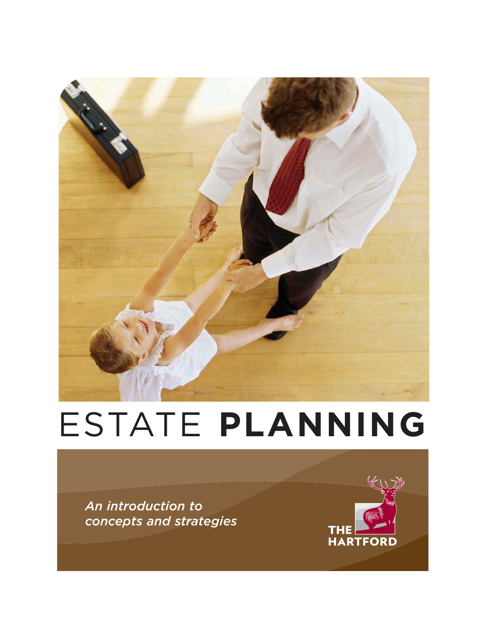

# ESTATE **PLANNING**

*An introduction to concepts and strategies*

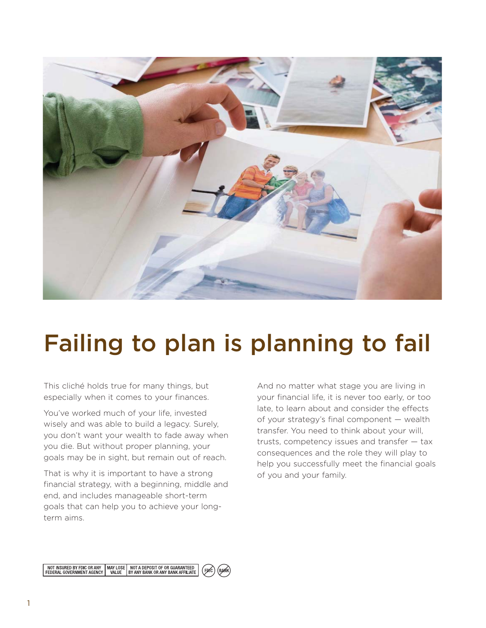

## Failing to plan is planning to fail

This cliché holds true for many things, but especially when it comes to your finances.

You've worked much of your life, invested wisely and was able to build a legacy. Surely, you don't want your wealth to fade away when you die. But without proper planning, your goals may be in sight, but remain out of reach.

That is why it is important to have a strong financial strategy, with a beginning, middle and end, and includes manageable short-term goals that can help you to achieve your longterm aims.

And no matter what stage you are living in your financial life, it is never too early, or too late, to learn about and consider the effects of your strategy's final component — wealth transfer. You need to think about your will, trusts, competency issues and transfer — tax consequences and the role they will play to help you successfully meet the financial goals of you and your family.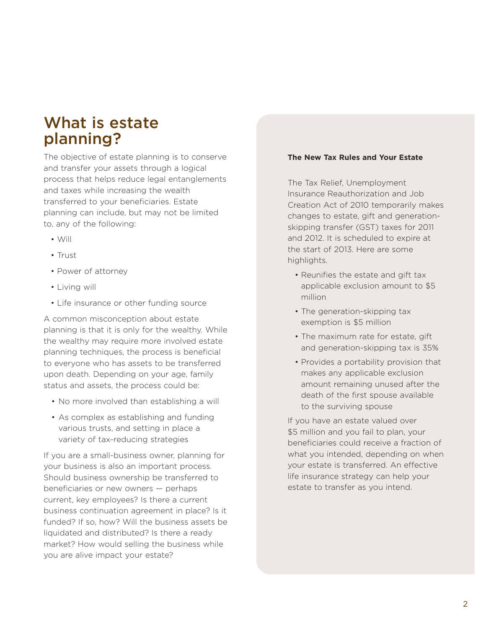## What is estate planning?

The objective of estate planning is to conserve and transfer your assets through a logical process that helps reduce legal entanglements and taxes while increasing the wealth transferred to your beneficiaries. Estate planning can include, but may not be limited to, any of the following:

- Will
- Trust
- Power of attorney
- Living will
- Life insurance or other funding source

A common misconception about estate planning is that it is only for the wealthy. While the wealthy may require more involved estate planning techniques, the process is beneficial to everyone who has assets to be transferred upon death. Depending on your age, family status and assets, the process could be:

- No more involved than establishing a will
- As complex as establishing and funding various trusts, and setting in place a variety of tax-reducing strategies

If you are a small-business owner, planning for your business is also an important process. Should business ownership be transferred to beneficiaries or new owners — perhaps current, key employees? Is there a current business continuation agreement in place? Is it funded? If so, how? Will the business assets be liquidated and distributed? Is there a ready market? How would selling the business while you are alive impact your estate?

#### **The New Tax Rules and Your Estate**

The Tax Relief, Unemployment Insurance Reauthorization and Job Creation Act of 2010 temporarily makes changes to estate, gift and generationskipping transfer (GST) taxes for 2011 and 2012. It is scheduled to expire at the start of 2013. Here are some highlights.

- Reunifies the estate and gift tax applicable exclusion amount to \$5 million
- The generation-skipping tax exemption is \$5 million
- The maximum rate for estate, gift and generation-skipping tax is 35%
- Provides a portability provision that makes any applicable exclusion amount remaining unused after the death of the first spouse available to the surviving spouse

If you have an estate valued over \$5 million and you fail to plan, your beneficiaries could receive a fraction of what you intended, depending on when your estate is transferred. An effective life insurance strategy can help your estate to transfer as you intend.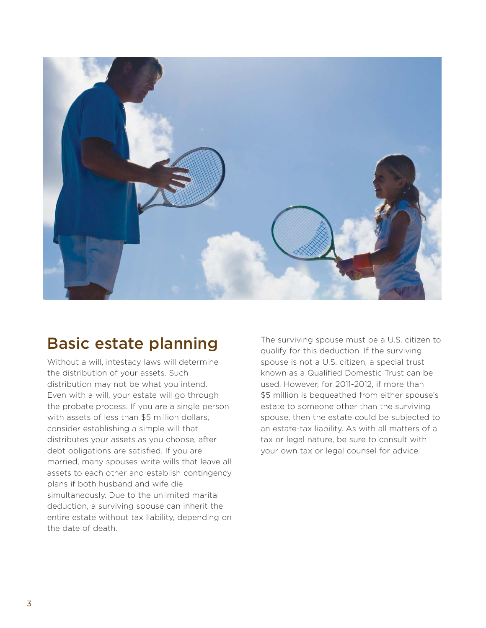

## Basic estate planning

Without a will, intestacy laws will determine the distribution of your assets. Such distribution may not be what you intend. Even with a will, your estate will go through the probate process. If you are a single person with assets of less than \$5 million dollars, consider establishing a simple will that distributes your assets as you choose, after debt obligations are satisfied. If you are married, many spouses write wills that leave all assets to each other and establish contingency plans if both husband and wife die simultaneously. Due to the unlimited marital deduction, a surviving spouse can inherit the entire estate without tax liability, depending on the date of death.

The surviving spouse must be a U.S. citizen to qualify for this deduction. If the surviving spouse is not a U.S. citizen, a special trust known as a Qualified Domestic Trust can be used. However, for 2011-2012, if more than \$5 million is bequeathed from either spouse's estate to someone other than the surviving spouse, then the estate could be subjected to an estate-tax liability. As with all matters of a tax or legal nature, be sure to consult with your own tax or legal counsel for advice. A B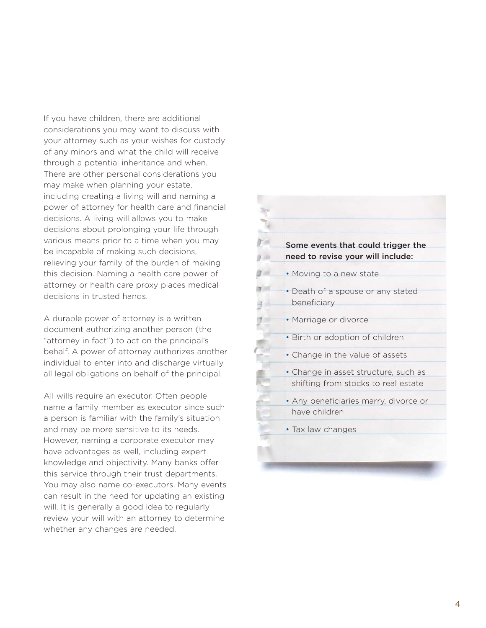If you have children, there are additional considerations you may want to discuss with your attorney such as your wishes for custody of any minors and what the child will receive through a potential inheritance and when. There are other personal considerations you may make when planning your estate, including creating a living will and naming a power of attorney for health care and financial decisions. A living will allows you to make decisions about prolonging your life through various means prior to a time when you may be incapable of making such decisions, relieving your family of the burden of making this decision. Naming a health care power of attorney or health care proxy places medical decisions in trusted hands.

A durable power of attorney is a written document authorizing another person (the "attorney in fact") to act on the principal's behalf. A power of attorney authorizes another individual to enter into and discharge virtually all legal obligations on behalf of the principal.

All wills require an executor. Often people name a family member as executor since such a person is familiar with the family's situation and may be more sensitive to its needs. However, naming a corporate executor may have advantages as well, including expert knowledge and objectivity. Many banks offer this service through their trust departments. You may also name co-executors. Many events can result in the need for updating an existing will. It is generally a good idea to regularly review your will with an attorney to determine whether any changes are needed.

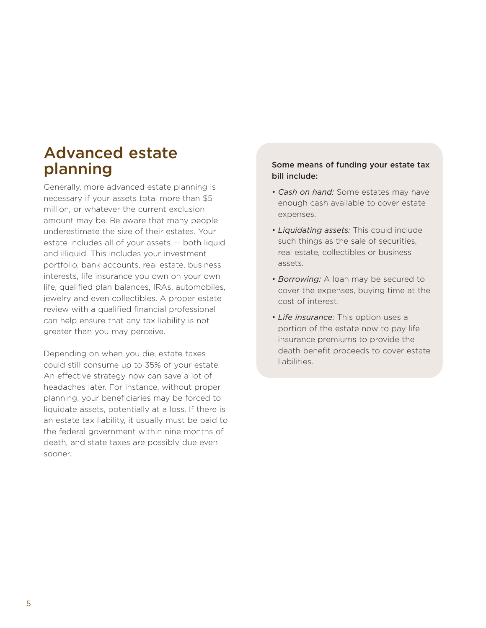### Advanced estate planning

Generally, more advanced estate planning is necessary if your assets total more than \$5 million, or whatever the current exclusion amount may be. Be aware that many people underestimate the size of their estates. Your estate includes all of your assets  $-$  both liquid and illiquid. This includes your investment portfolio, bank accounts, real estate, business interests, life insurance you own on your own life, qualified plan balances, IRAs, automobiles, jewelry and even collectibles. A proper estate review with a qualified financial professional can help ensure that any tax liability is not greater than you may perceive.

Depending on when you die, estate taxes could still consume up to 35% of your estate. An effective strategy now can save a lot of headaches later. For instance, without proper planning, your beneficiaries may be forced to liquidate assets, potentially at a loss. If there is an estate tax liability, it usually must be paid to the federal government within nine months of death, and state taxes are possibly due even sooner.

#### Some means of funding your estate tax bill include:

- *Cash on hand:* Some estates may have enough cash available to cover estate expenses.
- *Liquidating assets:* This could include such things as the sale of securities, real estate, collectibles or business assets.
- *Borrowing:* A loan may be secured to cover the expenses, buying time at the cost of interest.
- *Life insurance:* This option uses a portion of the estate now to pay life insurance premiums to provide the death benefit proceeds to cover estate liabilities.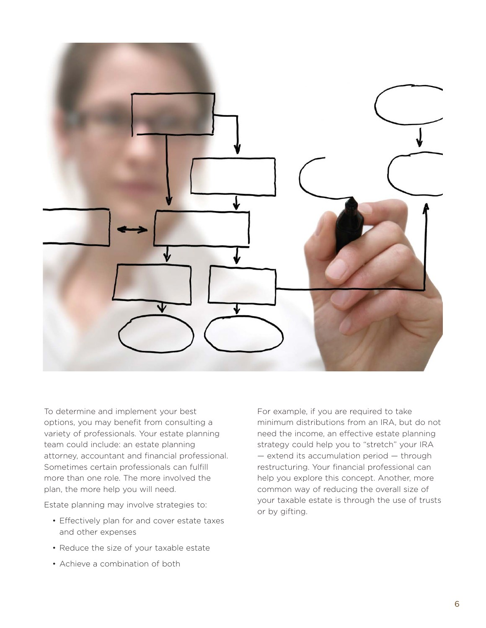

To determine and implement your best options, you may benefit from consulting a variety of professionals. Your estate planning team could include: an estate planning attorney, accountant and financial professional. Sometimes certain professionals can fulfill more than one role. The more involved the plan, the more help you will need.

Estate planning may involve strategies to:

- Effectively plan for and cover estate taxes and other expenses
- Reduce the size of your taxable estate
- Achieve a combination of both

For example, if you are required to take minimum distributions from an IRA, but do not need the income, an effective estate planning strategy could help you to "stretch" your IRA — extend its accumulation period — through restructuring. Your financial professional can help you explore this concept. Another, more common way of reducing the overall size of your taxable estate is through the use of trusts or by gifting.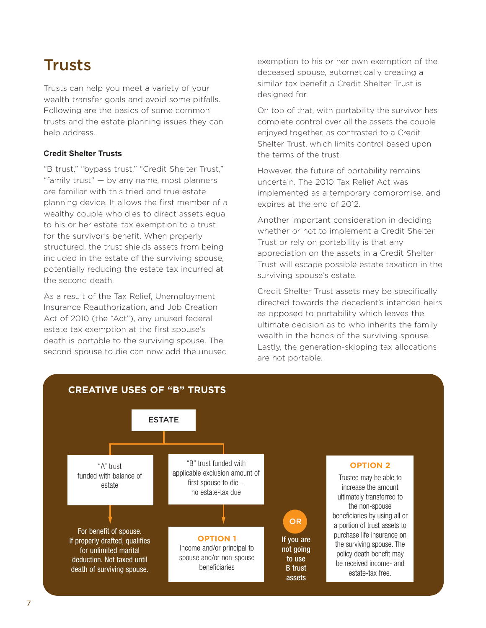## **Trusts**

Trusts can help you meet a variety of your wealth transfer goals and avoid some pitfalls. Following are the basics of some common trusts and the estate planning issues they can help address.

#### **Credit Shelter Trusts**

"B trust," "bypass trust," "Credit Shelter Trust," "family trust" — by any name, most planners are familiar with this tried and true estate planning device. It allows the first member of a wealthy couple who dies to direct assets equal to his or her estate-tax exemption to a trust for the survivor's benefit. When properly structured, the trust shields assets from being included in the estate of the surviving spouse, potentially reducing the estate tax incurred at the second death.

As a result of the Tax Relief, Unemployment Insurance Reauthorization, and Job Creation Act of 2010 (the "Act"), any unused federal estate tax exemption at the first spouse's death is portable to the surviving spouse. The second spouse to die can now add the unused exemption to his or her own exemption of the deceased spouse, automatically creating a similar tax benefit a Credit Shelter Trust is designed for.

On top of that, with portability the survivor has complete control over all the assets the couple enjoyed together, as contrasted to a Credit Shelter Trust, which limits control based upon the terms of the trust.

However, the future of portability remains uncertain. The 2010 Tax Relief Act was implemented as a temporary compromise, and expires at the end of 2012.

Another important consideration in deciding whether or not to implement a Credit Shelter Trust or rely on portability is that any appreciation on the assets in a Credit Shelter Trust will escape possible estate taxation in the surviving spouse's estate.

Credit Shelter Trust assets may be specifically directed towards the decedent's intended heirs as opposed to portability which leaves the ultimate decision as to who inherits the family wealth in the hands of the surviving spouse. Lastly, the generation-skipping tax allocations are not portable.

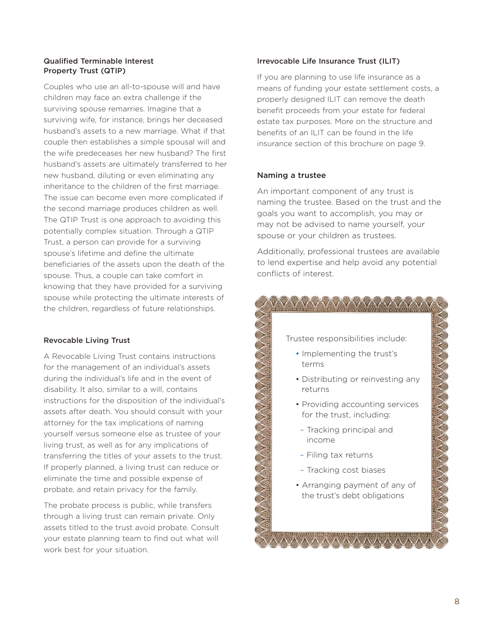#### Qualified Terminable Interest Property Trust (QTIP)

Couples who use an all-to-spouse will and have children may face an extra challenge if the surviving spouse remarries. Imagine that a surviving wife, for instance, brings her deceased husband's assets to a new marriage. What if that couple then establishes a simple spousal will and the wife predeceases her new husband? The first husband's assets are ultimately transferred to her new husband, diluting or even eliminating any inheritance to the children of the first marriage. The issue can become even more complicated if the second marriage produces children as well. The QTIP Trust is one approach to avoiding this potentially complex situation. Through a QTIP Trust, a person can provide for a surviving spouse's lifetime and define the ultimate beneficiaries of the assets upon the death of the spouse. Thus, a couple can take comfort in knowing that they have provided for a surviving spouse while protecting the ultimate interests of the children, regardless of future relationships.

#### Revocable Living Trust

A Revocable Living Trust contains instructions for the management of an individual's assets during the individual's life and in the event of disability. It also, similar to a will, contains instructions for the disposition of the individual's assets after death. You should consult with your attorney for the tax implications of naming yourself versus someone else as trustee of your living trust, as well as for any implications of transferring the titles of your assets to the trust. If properly planned, a living trust can reduce or eliminate the time and possible expense of probate, and retain privacy for the family.

The probate process is public, while transfers through a living trust can remain private. Only assets titled to the trust avoid probate. Consult your estate planning team to find out what will work best for your situation.

#### Irrevocable Life Insurance Trust (ILIT)

If you are planning to use life insurance as a means of funding your estate settlement costs, a properly designed ILIT can remove the death benefit proceeds from your estate for federal estate tax purposes. More on the structure and benefits of an ILIT can be found in the life insurance section of this brochure on page 9.

#### Naming a trustee

An important component of any trust is naming the trustee. Based on the trust and the goals you want to accomplish, you may or may not be advised to name yourself, your spouse or your children as trustees.

Additionally, professional trustees are available to lend expertise and help avoid any potential conflicts of interest.

#### Trustee responsibilities include:

- Implementing the trust's terms
- Distributing or reinvesting any returns
- Providing accounting services for the trust, including:
- Tracking principal and income
- Filing tax returns
- Tracking cost biases
- Arranging payment of any of the trust's debt obligations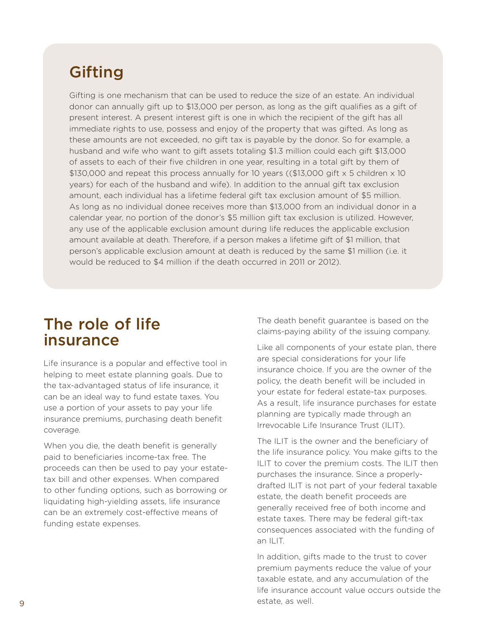## Gifting

Gifting is one mechanism that can be used to reduce the size of an estate. An individual donor can annually gift up to \$13,000 per person, as long as the gift qualifies as a gift of present interest. A present interest gift is one in which the recipient of the gift has all immediate rights to use, possess and enjoy of the property that was gifted. As long as these amounts are not exceeded, no gift tax is payable by the donor. So for example, a husband and wife who want to gift assets totaling \$1.3 million could each gift \$13,000 of assets to each of their five children in one year, resulting in a total gift by them of \$130,000 and repeat this process annually for 10 years ((\$13,000 gift x 5 children x 10 years) for each of the husband and wife). In addition to the annual gift tax exclusion amount, each individual has a lifetime federal gift tax exclusion amount of \$5 million. As long as no individual donee receives more than \$13,000 from an individual donor in a calendar year, no portion of the donor's \$5 million gift tax exclusion is utilized. However, any use of the applicable exclusion amount during life reduces the applicable exclusion amount available at death. Therefore, if a person makes a lifetime gift of \$1 million, that person's applicable exclusion amount at death is reduced by the same \$1 million (i.e. it would be reduced to \$4 million if the death occurred in 2011 or 2012).

## The role of life insurance

Life insurance is a popular and effective tool in helping to meet estate planning goals. Due to the tax-advantaged status of life insurance, it can be an ideal way to fund estate taxes. You use a portion of your assets to pay your life insurance premiums, purchasing death benefit coverage.

When you die, the death benefit is generally paid to beneficiaries income-tax free. The proceeds can then be used to pay your estatetax bill and other expenses. When compared to other funding options, such as borrowing or liquidating high-yielding assets, life insurance can be an extremely cost-effective means of funding estate expenses.

The death benefit guarantee is based on the claims-paying ability of the issuing company.

Like all components of your estate plan, there are special considerations for your life insurance choice. If you are the owner of the policy, the death benefit will be included in your estate for federal estate-tax purposes. As a result, life insurance purchases for estate planning are typically made through an Irrevocable Life Insurance Trust (ILIT).

The ILIT is the owner and the beneficiary of the life insurance policy. You make gifts to the ILIT to cover the premium costs. The ILIT then purchases the insurance. Since a properlydrafted ILIT is not part of your federal taxable estate, the death benefit proceeds are generally received free of both income and estate taxes. There may be federal gift-tax consequences associated with the funding of an ILIT.

In addition, gifts made to the trust to cover premium payments reduce the value of your taxable estate, and any accumulation of the life insurance account value occurs outside the estate, as well.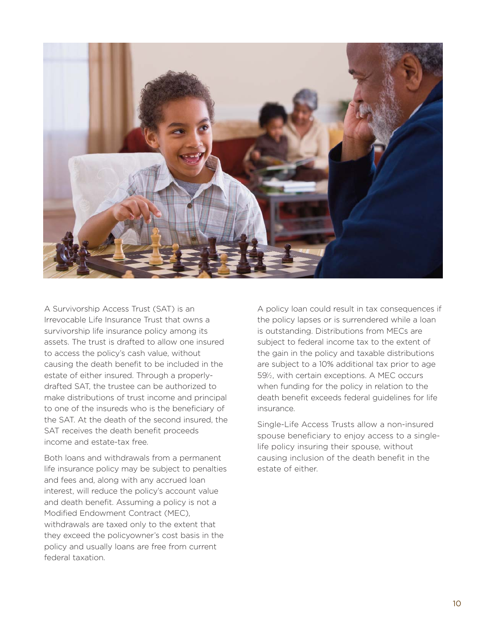

A Survivorship Access Trust (SAT) is an Irrevocable Life Insurance Trust that owns a survivorship life insurance policy among its assets. The trust is drafted to allow one insured to access the policy's cash value, without causing the death benefit to be included in the estate of either insured. Through a properlydrafted SAT, the trustee can be authorized to make distributions of trust income and principal to one of the insureds who is the beneficiary of the SAT. At the death of the second insured, the SAT receives the death benefit proceeds income and estate-tax free.

Both loans and withdrawals from a permanent life insurance policy may be subject to penalties and fees and, along with any accrued loan interest, will reduce the policy's account value and death benefit. Assuming a policy is not a Modified Endowment Contract (MEC), withdrawals are taxed only to the extent that they exceed the policyowner's cost basis in the policy and usually loans are free from current federal taxation.

A policy loan could result in tax consequences if the policy lapses or is surrendered while a loan is outstanding. Distributions from MECs are subject to federal income tax to the extent of the gain in the policy and taxable distributions are subject to a 10% additional tax prior to age 59<sup>1/2</sup>, with certain exceptions. A MEC occurs when funding for the policy in relation to the death benefit exceeds federal guidelines for life insurance.

Single-Life Access Trusts allow a non-insured spouse beneficiary to enjoy access to a singlelife policy insuring their spouse, without causing inclusion of the death benefit in the estate of either.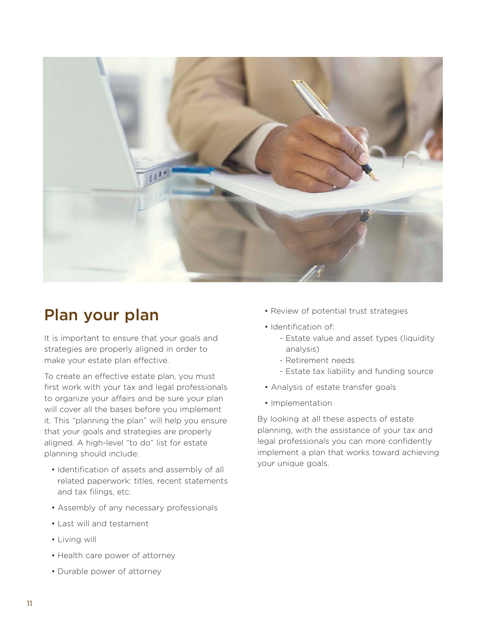

## Plan your plan

It is important to ensure that your goals and strategies are properly aligned in order to make your estate plan effective.

To create an effective estate plan, you must first work with your tax and legal professionals to organize your affairs and be sure your plan will cover all the bases before you implement it. This "planning the plan" will help you ensure that your goals and strategies are properly aligned. A high-level "to do" list for estate planning should include:

- Identification of assets and assembly of all related paperwork: titles, recent statements and tax filings, etc.
- Assembly of any necessary professionals
- Last will and testament
- Living will
- Health care power of attorney
- Durable power of attorney
- Review of potential trust strategies
- Identification of:
	- Estate value and asset types (liquidity analysis)
	- Retirement needs
	- Estate tax liability and funding source
- Analysis of estate transfer goals
- Implementation

By looking at all these aspects of estate planning, with the assistance of your tax and legal professionals you can more confidently implement a plan that works toward achieving your unique goals.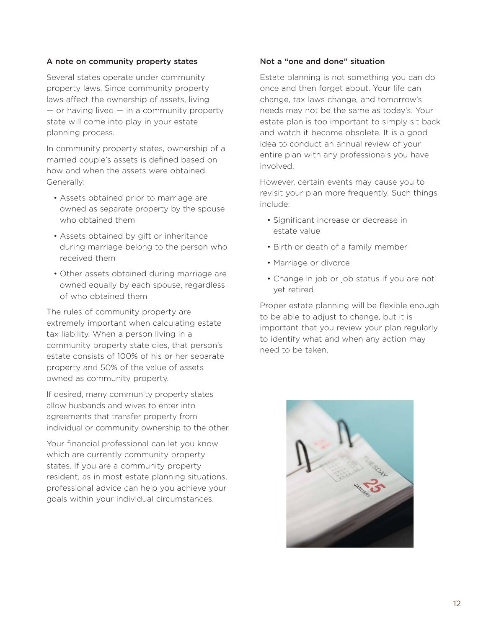#### A note on community property states

Several states operate under community property laws. Since community property laws affect the ownership of assets, living  $-$  or having lived  $-$  in a community property state will come into play in your estate planning process.

In community property states, ownership of a married couple's assets is defined based on how and when the assets were obtained. Generally:

- Assets obtained prior to marriage are owned as separate property by the spouse who obtained them
- Assets obtained by gift or inheritance during marriage belong to the person who received them
- Other assets obtained during marriage are owned equally by each spouse, regardless of who obtained them

The rules of community property are extremely important when calculating estate tax liability. When a person living in a community property state dies, that person's estate consists of 100% of his or her separate property and 50% of the value of assets owned as community property.

If desired, many community property states allow husbands and wives to enter into agreements that transfer property from individual or community ownership to the other.

Your financial professional can let you know which are currently community property states. If you are a community property resident, as in most estate planning situations, professional advice can help you achieve your goals within your individual circumstances.

#### Not a "one and done" situation

Estate planning is not something you can do once and then forget about. Your life can change, tax laws change, and tomorrow's needs may not be the same as today's. Your estate plan is too important to simply sit back and watch it become obsolete. It is a good idea to conduct an annual review of your entire plan with any professionals you have involved.

However, certain events may cause you to revisit your plan more frequently. Such things include:

- Significant increase or decrease in estate value
- Birth or death of a family member
- Marriage or divorce
- Change in job or job status if you are not yet retired

Proper estate planning will be flexible enough to be able to adjust to change, but it is important that you review your plan regularly to identify what and when any action may need to be taken.

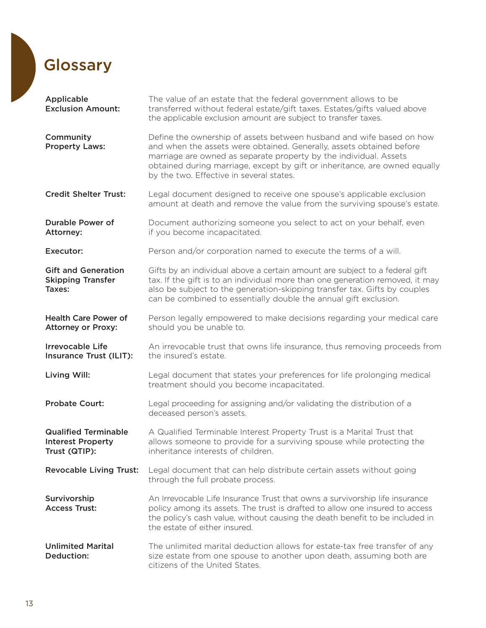# **Glossary**

| Applicable<br><b>Exclusion Amount:</b>                                   | The value of an estate that the federal government allows to be<br>transferred without federal estate/gift taxes. Estates/gifts valued above<br>the applicable exclusion amount are subject to transfer taxes.                                                                                                                              |
|--------------------------------------------------------------------------|---------------------------------------------------------------------------------------------------------------------------------------------------------------------------------------------------------------------------------------------------------------------------------------------------------------------------------------------|
| Community<br><b>Property Laws:</b>                                       | Define the ownership of assets between husband and wife based on how<br>and when the assets were obtained. Generally, assets obtained before<br>marriage are owned as separate property by the individual. Assets<br>obtained during marriage, except by gift or inheritance, are owned equally<br>by the two. Effective in several states. |
| <b>Credit Shelter Trust:</b>                                             | Legal document designed to receive one spouse's applicable exclusion<br>amount at death and remove the value from the surviving spouse's estate.                                                                                                                                                                                            |
| <b>Durable Power of</b><br>Attorney:                                     | Document authorizing someone you select to act on your behalf, even<br>if you become incapacitated.                                                                                                                                                                                                                                         |
| Executor:                                                                | Person and/or corporation named to execute the terms of a will.                                                                                                                                                                                                                                                                             |
| <b>Gift and Generation</b><br><b>Skipping Transfer</b><br>Taxes:         | Gifts by an individual above a certain amount are subject to a federal gift<br>tax. If the gift is to an individual more than one generation removed, it may<br>also be subject to the generation-skipping transfer tax. Gifts by couples<br>can be combined to essentially double the annual gift exclusion.                               |
| <b>Health Care Power of</b><br><b>Attorney or Proxy:</b>                 | Person legally empowered to make decisions regarding your medical care<br>should you be unable to.                                                                                                                                                                                                                                          |
| <b>Irrevocable Life</b><br>Insurance Trust (ILIT):                       | An irrevocable trust that owns life insurance, thus removing proceeds from<br>the insured's estate.                                                                                                                                                                                                                                         |
| Living Will:                                                             | Legal document that states your preferences for life prolonging medical<br>treatment should you become incapacitated.                                                                                                                                                                                                                       |
| <b>Probate Court:</b>                                                    | Legal proceeding for assigning and/or validating the distribution of a<br>deceased person's assets.                                                                                                                                                                                                                                         |
| <b>Qualified Terminable</b><br><b>Interest Property</b><br>Trust (QTIP): | A Qualified Terminable Interest Property Trust is a Marital Trust that<br>allows someone to provide for a surviving spouse while protecting the<br>inheritance interests of children.                                                                                                                                                       |
| <b>Revocable Living Trust:</b>                                           | Legal document that can help distribute certain assets without going<br>through the full probate process.                                                                                                                                                                                                                                   |
| Survivorship<br><b>Access Trust:</b>                                     | An Irrevocable Life Insurance Trust that owns a survivorship life insurance<br>policy among its assets. The trust is drafted to allow one insured to access<br>the policy's cash value, without causing the death benefit to be included in<br>the estate of either insured.                                                                |
| <b>Unlimited Marital</b><br>Deduction:                                   | The unlimited marital deduction allows for estate-tax free transfer of any<br>size estate from one spouse to another upon death, assuming both are<br>citizens of the United States.                                                                                                                                                        |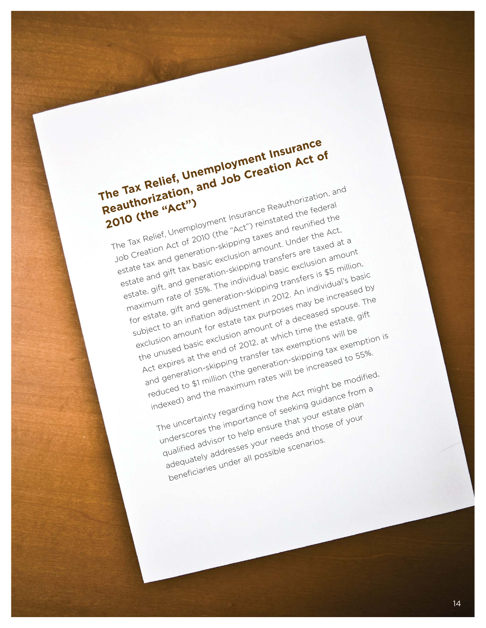**The Tax Relief, Unemployment Insurance Reauthorization, and Job Creation Act of 2010 (the "Act")** The Tax Relief, Unemployment Insurance Reauthorization, and Job Creation Act of 2010 (the "Act") reinstated the federal estate tax and generation-skipping taxes and reunified the estate and gift tax basic exclusion amount. Under the Act, estate, gift, and generation-skipping transfers are taxed at a maximum rate of 35%. The individual basic exclusion amount for estate, gift and generation-skipping transfers is \$5 million, subject to an inflation adjustment in 2012. An individual's basic exclusion amount for estate tax purposes may be increased by the unused basic exclusion amount of a deceased spouse. The Act expires at the end of 2012, at which time the estate, gift and generation-skipping transfer tax exemptions will be reduced to \$1 million (the generation-skipping tax exemption is indexed) and the maximum rates will be increased to 55%. The uncertainty regarding how the Act might be modified, underscores the importance of seeking guidance from a qualified advisor to help ensure that your estate plan adequately addresses your needs and those of your beneficiaries under all possible scenarios.